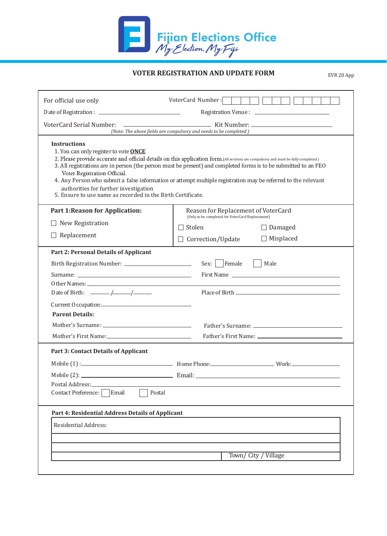

## **VOTER REGISTRATION AND UPDATE FORM**

EVR 20 App

| For official use only                                                                                                                                                                                | VoterCard Number:                                                                                                                                                                                                                                                                                                                                                       |
|------------------------------------------------------------------------------------------------------------------------------------------------------------------------------------------------------|-------------------------------------------------------------------------------------------------------------------------------------------------------------------------------------------------------------------------------------------------------------------------------------------------------------------------------------------------------------------------|
|                                                                                                                                                                                                      |                                                                                                                                                                                                                                                                                                                                                                         |
| <b>VoterCard Serial Number:</b>                                                                                                                                                                      | (Note: The above fields are compulsory and needs to be completed)                                                                                                                                                                                                                                                                                                       |
| <b>Instructions</b><br>1. You can only register to vote ONCE<br>Voter Registration Official.<br>authorities for further investigation<br>5. Ensure to use name as recorded in the Birth Certificate. | 2. Please provide accurate and official details on this application form.(All sections are compulsory and must be fully completed)<br>3. All registrations are in person (the person must be present) and completed forms is to be submitted to an FEO<br>4. Any Person who submit a false information or attempt multiple registration may be referred to the relevant |
| <b>Part 1: Reason for Application:</b>                                                                                                                                                               | Reason for Replacement of VoterCard                                                                                                                                                                                                                                                                                                                                     |
| New Registration                                                                                                                                                                                     | (Only to be completed for VoterCard Replacement)<br>$\Box$ Stolen                                                                                                                                                                                                                                                                                                       |
| Replacement                                                                                                                                                                                          | $\Box$ Damaged                                                                                                                                                                                                                                                                                                                                                          |
|                                                                                                                                                                                                      | $\Box$ Misplaced<br>$\Box$ Correction/Update                                                                                                                                                                                                                                                                                                                            |
| <b>Part 2: Personal Details of Applicant</b>                                                                                                                                                         |                                                                                                                                                                                                                                                                                                                                                                         |
|                                                                                                                                                                                                      | Sex: Female<br>Male                                                                                                                                                                                                                                                                                                                                                     |
|                                                                                                                                                                                                      | First Name                                                                                                                                                                                                                                                                                                                                                              |
| Date of Birth: $\frac{\sqrt{2}}{2}$                                                                                                                                                                  |                                                                                                                                                                                                                                                                                                                                                                         |
| Current Occupation:                                                                                                                                                                                  |                                                                                                                                                                                                                                                                                                                                                                         |
| <b>Parent Details:</b>                                                                                                                                                                               |                                                                                                                                                                                                                                                                                                                                                                         |
|                                                                                                                                                                                                      |                                                                                                                                                                                                                                                                                                                                                                         |
|                                                                                                                                                                                                      |                                                                                                                                                                                                                                                                                                                                                                         |
| <b>Part 3: Contact Details of Applicant</b>                                                                                                                                                          |                                                                                                                                                                                                                                                                                                                                                                         |
|                                                                                                                                                                                                      |                                                                                                                                                                                                                                                                                                                                                                         |
|                                                                                                                                                                                                      |                                                                                                                                                                                                                                                                                                                                                                         |
| Postal Address: North American Section 2014 12:00 12:00 12:00 12:00 12:00 12:00 12:00 12:00 12:00 12:00 12:00                                                                                        |                                                                                                                                                                                                                                                                                                                                                                         |
| Email<br>Contact Preference:                                                                                                                                                                         | Postal                                                                                                                                                                                                                                                                                                                                                                  |
| Part 4: Residential Address Details of Applicant                                                                                                                                                     |                                                                                                                                                                                                                                                                                                                                                                         |
| <b>Residential Address:</b>                                                                                                                                                                          |                                                                                                                                                                                                                                                                                                                                                                         |
|                                                                                                                                                                                                      |                                                                                                                                                                                                                                                                                                                                                                         |
|                                                                                                                                                                                                      |                                                                                                                                                                                                                                                                                                                                                                         |
|                                                                                                                                                                                                      |                                                                                                                                                                                                                                                                                                                                                                         |